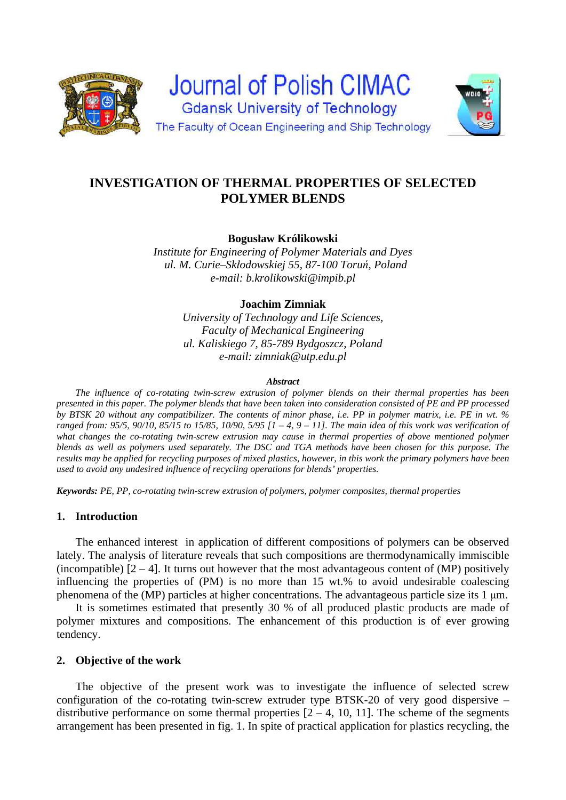



**Bogusław Królikowski** 

*Institute for Engineering of Polymer Materials and Dyes ul. M. Curie–Skłodowskiej 55, 87-100 Toruń, Poland e-mail: b.krolikowski@impib.pl*

**Joachim Zimniak** 

*University of Technology and Life Sciences, Faculty of Mechanical Engineering ul. Kaliskiego 7, 85-789 Bydgoszcz, Poland e-mail: zimniak@utp.edu.pl*

#### *Abstract*

 *The influence of co-rotating twin-screw extrusion of polymer blends on their thermal properties has been presented in this paper. The polymer blends that have been taken into consideration consisted of PE and PP processed by BTSK 20 without any compatibilizer. The contents of minor phase, i.e. PP in polymer matrix, i.e. PE in wt. % ranged from: 95/5, 90/10, 85/15 to 15/85, 10/90, 5/95 [1 – 4, 9 – 11]. The main idea of this work was verification of what changes the co-rotating twin-screw extrusion may cause in thermal properties of above mentioned polymer blends as well as polymers used separately. The DSC and TGA methods have been chosen for this purpose. The results may be applied for recycling purposes of mixed plastics, however, in this work the primary polymers have been used to avoid any undesired influence of recycling operations for blends' properties.* 

*Keywords: PE, PP, co-rotating twin-screw extrusion of polymers, polymer composites, thermal properties*

#### **1. Introduction**

 The enhanced interest in application of different compositions of polymers can be observed lately. The analysis of literature reveals that such compositions are thermodynamically immiscible (incompatible)  $[2 - 4]$ . It turns out however that the most advantageous content of (MP) positively influencing the properties of (PM) is no more than 15 wt.% to avoid undesirable coalescing phenomena of the (MP) particles at higher concentrations. The advantageous particle size its 1 μm.

 It is sometimes estimated that presently 30 % of all produced plastic products are made of polymer mixtures and compositions. The enhancement of this production is of ever growing tendency.

### **2. Objective of the work**

 The objective of the present work was to investigate the influence of selected screw configuration of the co-rotating twin-screw extruder type BTSK-20 of very good dispersive – distributive performance on some thermal properties  $[2 - 4, 10, 11]$ . The scheme of the segments arrangement has been presented in fig. 1. In spite of practical application for plastics recycling, the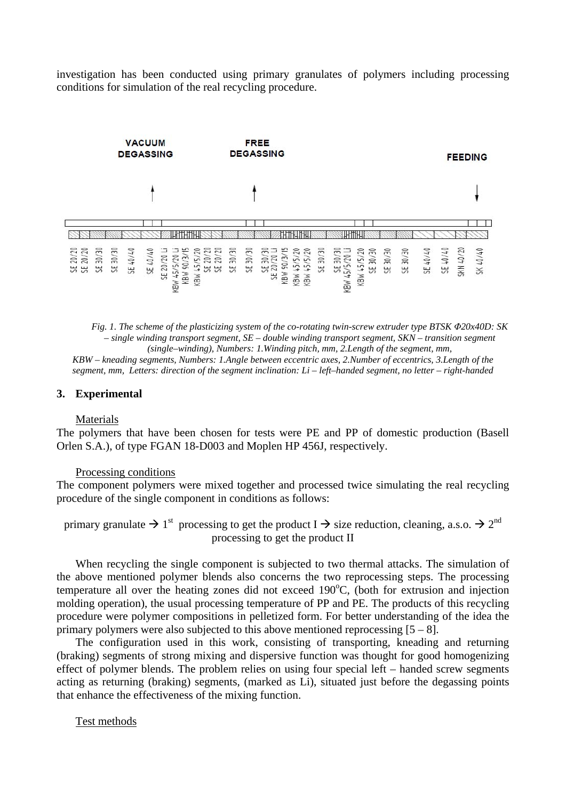investigation has been conducted using primary granulates of polymers including processing conditions for simulation of the real recycling procedure.



*Fig. 1. The scheme of the plasticizing system of the co-rotating twin-screw extruder type BTSK Φ20x40D: SK – single winding transport segment, SE – double winding transport segment, SKN – transition segment (single–winding), Numbers: 1.Winding pitch, mm, 2.Length of the segment, mm,* 

*KBW – kneading segments, Numbers: 1.Angle between eccentric axes, 2.Number of eccentrics, 3.Length of the segment, mm, Letters: direction of the segment inclination: Li – left–handed segment, no letter – right-handed* 

#### **3. Experimental**

#### Materials

The polymers that have been chosen for tests were PE and PP of domestic production (Basell Orlen S.A.), of type FGAN 18-D003 and Moplen HP 456J, respectively.

#### Processing conditions

The component polymers were mixed together and processed twice simulating the real recycling procedure of the single component in conditions as follows:

primary granulate  $\rightarrow 1^{\text{st}}$  processing to get the product I  $\rightarrow$  size reduction, cleaning, a.s.o.  $\rightarrow 2^{\text{nd}}$ processing to get the product II

 When recycling the single component is subjected to two thermal attacks. The simulation of the above mentioned polymer blends also concerns the two reprocessing steps. The processing temperature all over the heating zones did not exceed 190°C, (both for extrusion and injection molding operation), the usual processing temperature of PP and PE. The products of this recycling procedure were polymer compositions in pelletized form. For better understanding of the idea the primary polymers were also subjected to this above mentioned reprocessing  $[5 - 8]$ .

 The configuration used in this work, consisting of transporting, kneading and returning (braking) segments of strong mixing and dispersive function was thought for good homogenizing effect of polymer blends. The problem relies on using four special left – handed screw segments acting as returning (braking) segments, (marked as Li), situated just before the degassing points that enhance the effectiveness of the mixing function.

#### Test methods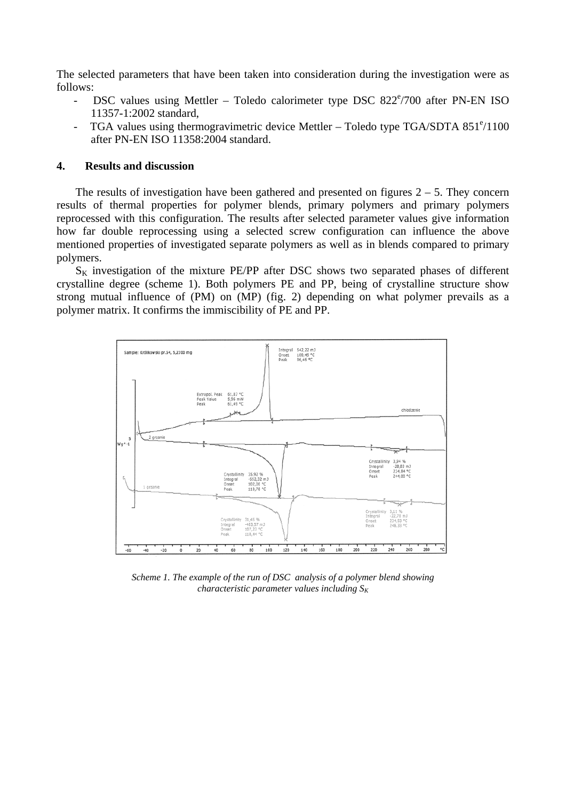The selected parameters that have been taken into consideration during the investigation were as follows:

- DSC values using Mettler Toledo calorimeter type DSC 822°/700 after PN-EN ISO 11357-1:2002 standard,
- TGA values using thermogravimetric device Mettler Toledo type TGA/SDTA 851°/1100 after PN-EN ISO 11358:2004 standard.

## **4. Results and discussion**

The results of investigation have been gathered and presented on figures  $2 - 5$ . They concern results of thermal properties for polymer blends, primary polymers and primary polymers reprocessed with this configuration. The results after selected parameter values give information how far double reprocessing using a selected screw configuration can influence the above mentioned properties of investigated separate polymers as well as in blends compared to primary polymers.

 $S_K$  investigation of the mixture PE/PP after DSC shows two separated phases of different crystalline degree (scheme 1). Both polymers PE and PP, being of crystalline structure show strong mutual influence of (PM) on (MP) (fig. 2) depending on what polymer prevails as a polymer matrix. It confirms the immiscibility of PE and PP.



*Scheme 1. The example of the run of DSC analysis of a polymer blend showing characteristic parameter values including*  $S_k$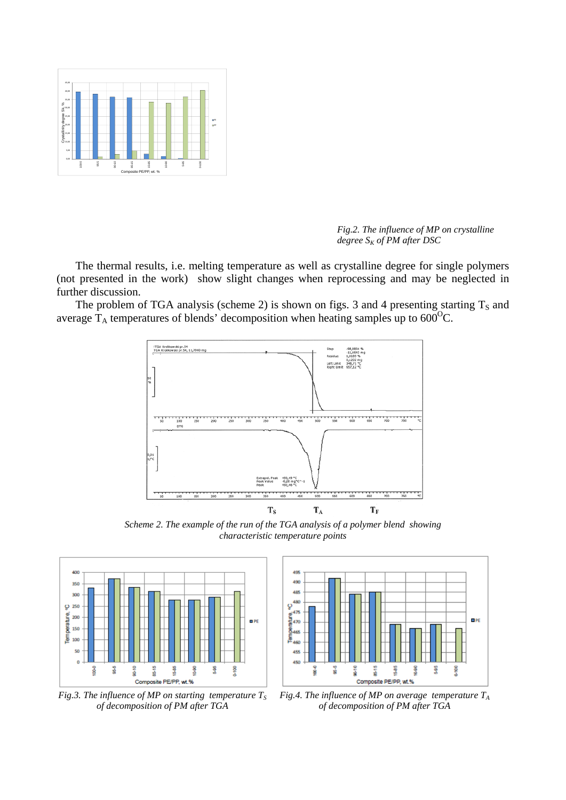

*Fig.2. The influence of MP on crystalline degree*  $S_K$  of PM after DSC

 The thermal results, i.e. melting temperature as well as crystalline degree for single polymers (not presented in the work) show slight changes when reprocessing and may be neglected in further discussion.

The problem of TGA analysis (scheme 2) is shown on figs. 3 and 4 presenting starting  $T_s$  and average  $T_A$  temperatures of blends' decomposition when heating samples up to  $600^{\circ}$ C.



*Scheme 2. The example of the run of the TGA analysis of a polymer blend showing characteristic temperature points* 



*Fig.3. The influence of MP on starting temperature*  $T_s$ *of decomposition of PM after TGA* 



*Fig.4. The influence of MP on average temperature TA of decomposition of PM after TGA*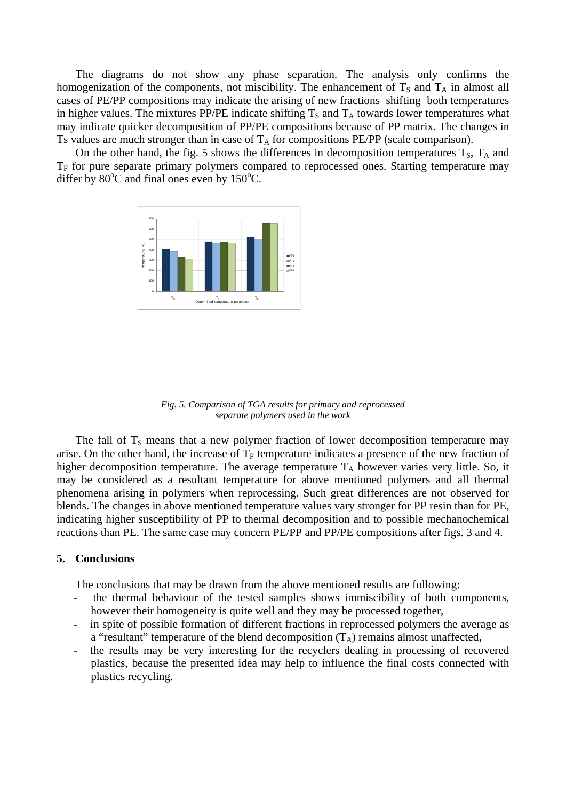The diagrams do not show any phase separation. The analysis only confirms the homogenization of the components, not miscibility. The enhancement of  $T<sub>S</sub>$  and  $T<sub>A</sub>$  in almost all cases of PE/PP compositions may indicate the arising of new fractions shifting both temperatures in higher values. The mixtures PP/PE indicate shifting  $T<sub>S</sub>$  and  $T<sub>A</sub>$  towards lower temperatures what may indicate quicker decomposition of PP/PE compositions because of PP matrix. The changes in Ts values are much stronger than in case of  $T_A$  for compositions PE/PP (scale comparison).

On the other hand, the fig. 5 shows the differences in decomposition temperatures  $T_s$ ,  $T_A$  and  $T_F$  for pure separate primary polymers compared to reprocessed ones. Starting temperature may differ by  $80^{\circ}$ C and final ones even by  $150^{\circ}$ C.





The fall of  $T<sub>S</sub>$  means that a new polymer fraction of lower decomposition temperature may arise. On the other hand, the increase of  $T_F$  temperature indicates a presence of the new fraction of higher decomposition temperature. The average temperature  $T_A$  however varies very little. So, it may be considered as a resultant temperature for above mentioned polymers and all thermal phenomena arising in polymers when reprocessing. Such great differences are not observed for blends. The changes in above mentioned temperature values vary stronger for PP resin than for PE, indicating higher susceptibility of PP to thermal decomposition and to possible mechanochemical reactions than PE. The same case may concern PE/PP and PP/PE compositions after figs. 3 and 4.

#### **5. Conclusions**

The conclusions that may be drawn from the above mentioned results are following:

- the thermal behaviour of the tested samples shows immiscibility of both components, however their homogeneity is quite well and they may be processed together,
- in spite of possible formation of different fractions in reprocessed polymers the average as a "resultant" temperature of the blend decomposition  $(T_A)$  remains almost unaffected,
- the results may be very interesting for the recyclers dealing in processing of recovered plastics, because the presented idea may help to influence the final costs connected with plastics recycling.